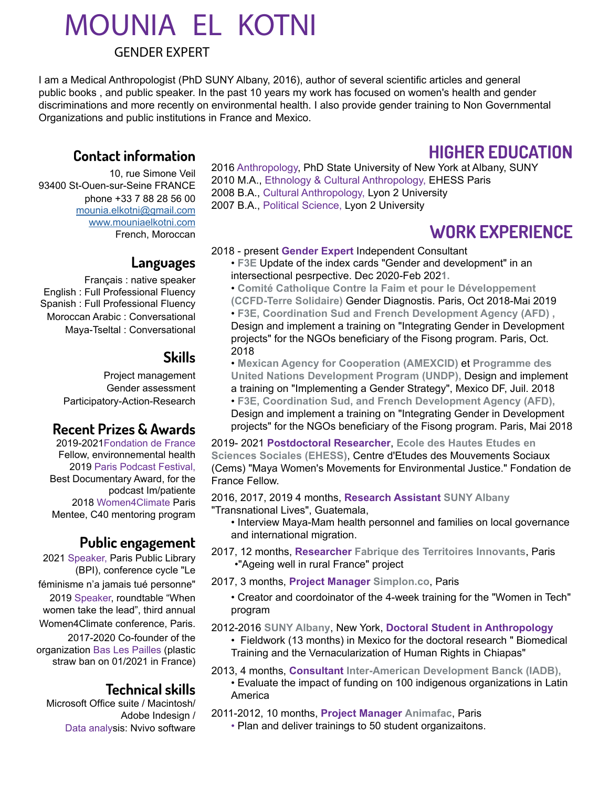# MOUNIA EL KOTNI

### GENDER EXPERT

I am a Medical Anthropologist (PhD SUNY Albany, 2016), author of several scientific articles and general public books , and public speaker. In the past 10 years my work has focused on women's health and gender discriminations and more recently on environmental health. I also provide gender training to Non Governmental Organizations and public institutions in France and Mexico.

### **Contact information**

10, rue Simone Veil 93400 St-Ouen-sur-Seine FRANCE phone +33 7 88 28 56 00 [mounia.elkotni@gmail.com](mailto:?subject=) [www.mouniaelkotni.com](http://www.mouniaelkotni.com ) [French, Moroccan](http://www.mouniaelkotni.com )

### **Languages**

Français : native speaker English : Full Professional Fluency Spanish : Full Professional Fluency Moroccan Arabic : Conversational Maya-Tseltal : Conversational

## **Skills**

Project management Gender assessment Participatory-Action-Research

### **Recent Prizes & Awards**

2019-2021Fondation de France Fellow, environnemental health 2019 Paris Podcast Festival, Best Documentary Award, for the podcast Im/patiente 2018 Women4Climate Paris Mentee, C40 mentoring program

### **Public engagement**

2021 Speaker, Paris Public Library (BPI), conference cycle "Le féminisme n'a jamais tué personne" 2019 Speaker, roundtable "When women take the lead", third annual Women4Climate conference, Paris. 2017-2020 Co-founder of the organization Bas Les Pailles (plastic straw ban on 01/2021 in France)

### **Technical skills**

Microsoft Office suite / Macintosh/ Adobe Indesign / Data analysis: Nvivo software

2016 Anthropology, PhD State University of New York at Albany, SUNY 2010 M.A., Ethnology & Cultural Anthropology, EHESS Paris 2008 B.A., Cultural Anthropology, Lyon 2 University 2007 B.A., Political Science, Lyon 2 University

# **WORK EXPERIENCE**

**HIGHER EDUCATION**

### 2018 - present **Gender Expert** Independent Consultant

• **F3E** Update of the index cards "Gender and development" in an intersectional pesrpective. Dec 2020-Feb 202**1.**

• **Comité Catholique Contre la Faim et pour le Développement (CCFD-Terre Solidaire)** Gender Diagnostis. Paris, Oct 2018-Mai 2019 • **F3E, Coordination Sud and French Development Agency (AFD) ,**  Design and implement a training on "Integrating Gender in Development projects" for the NGOs beneficiary of the Fisong program. Paris, Oct. 2018

• **Mexican Agency for Cooperation (AMEXCID)** et **Programme des United Nations Development Program (UNDP),** Design and implement a training on "Implementing a Gender Strategy", Mexico DF, Juil. 2018

• **F3E, Coordination Sud, and French Development Agency (AFD),**  Design and implement a training on "Integrating Gender in Development projects" for the NGOs beneficiary of the Fisong program. Paris, Mai 2018

2019- 2021 **Postdoctoral Researcher**, **Ecole des Hautes Etudes en Sciences Sociales (EHESS)**, Centre d'Etudes des Mouvements Sociaux (Cems) "Maya Women's Movements for Environmental Justice." Fondation de France Fellow.

2016, 2017, 2019 4 months, **Research Assistant SUNY Albany** "Transnational Lives", Guatemala,

• Interview Maya-Mam health personnel and families on local governance and international migration.

2017, 12 months, **Researcher Fabrique des Territoires Innovants**, Paris •"Ageing well in rural France" project

2017, 3 months, **Project Manager Simplon.co**, Paris

- Creator and coordoinator of the 4-week training for the "Women in Tech" program
- 2012-2016 **SUNY Albany**, New York, **Doctoral Student in Anthropology**

• Fieldwork (13 months) in Mexico for the doctoral research " Biomedical Training and the Vernacularization of Human Rights in Chiapas"

2013, 4 months, **Consultant Inter-American Development Banck (IADB),**  • Evaluate the impact of funding on 100 indigenous organizations in Latin

America

2011-2012, 10 months, **Project Manager Animafac**, Paris

• Plan and deliver trainings to 50 student organizaitons.